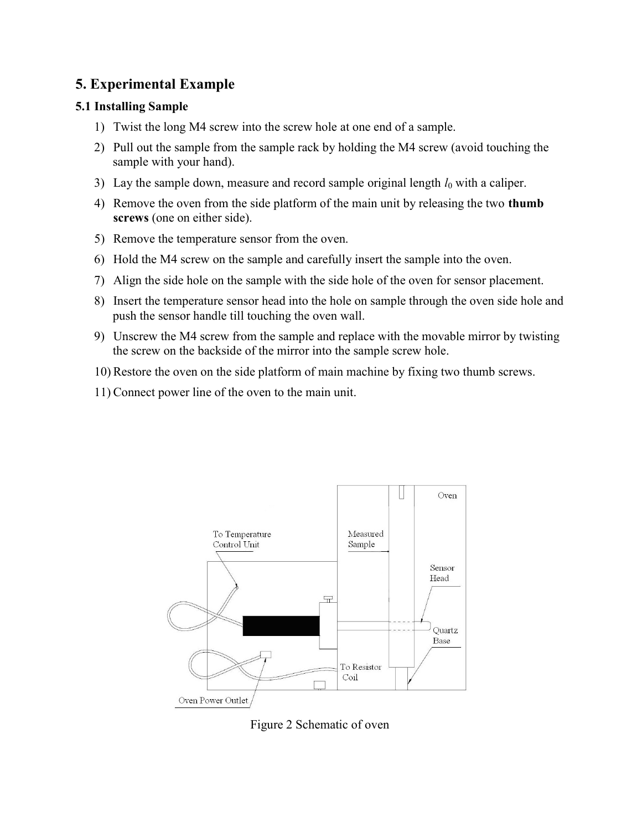# 5. Experimental Example

## 5.1 Installing Sample

- 1) Twist the long M4 screw into the screw hole at one end of a sample.
- 2) Pull out the sample from the sample rack by holding the M4 screw (avoid touching the sample with your hand).
- 3) Lay the sample down, measure and record sample original length  $l_0$  with a caliper.
- 4) Remove the oven from the side platform of the main unit by releasing the two thumb screws (one on either side).
- 5) Remove the temperature sensor from the oven.
- 6) Hold the M4 screw on the sample and carefully insert the sample into the oven.
- 7) Align the side hole on the sample with the side hole of the oven for sensor placement.
- 8) Insert the temperature sensor head into the hole on sample through the oven side hole and push the sensor handle till touching the oven wall.
- 9) Unscrew the M4 screw from the sample and replace with the movable mirror by twisting the screw on the backside of the mirror into the sample screw hole.
- 10) Restore the oven on the side platform of main machine by fixing two thumb screws.
- 11) Connect power line of the oven to the main unit.



Figure 2 Schematic of oven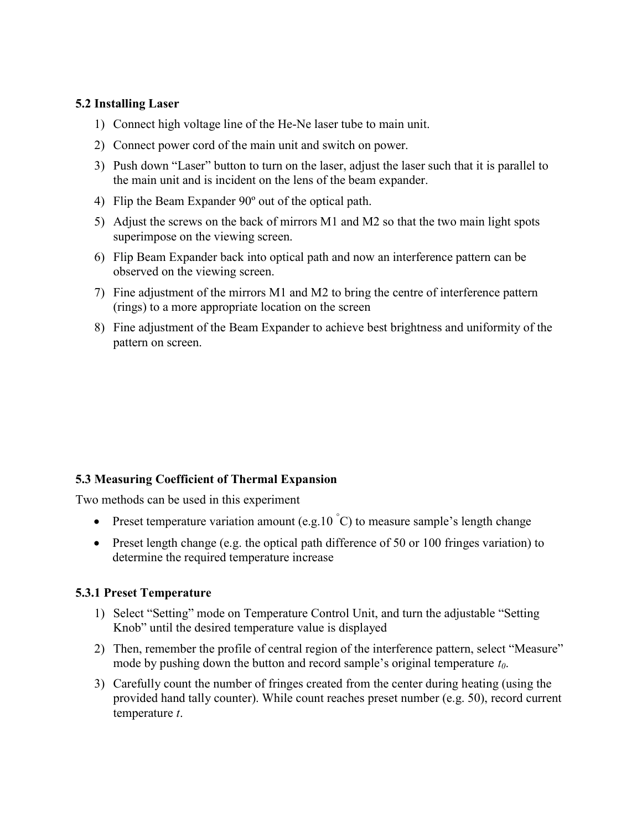### 5.2 Installing Laser

- 1) Connect high voltage line of the He-Ne laser tube to main unit.
- 2) Connect power cord of the main unit and switch on power.
- 3) Push down "Laser" button to turn on the laser, adjust the laser such that it is parallel to the main unit and is incident on the lens of the beam expander.
- 4) Flip the Beam Expander 90º out of the optical path.
- 5) Adjust the screws on the back of mirrors M1 and M2 so that the two main light spots superimpose on the viewing screen.
- 6) Flip Beam Expander back into optical path and now an interference pattern can be observed on the viewing screen.
- 7) Fine adjustment of the mirrors M1 and M2 to bring the centre of interference pattern (rings) to a more appropriate location on the screen
- 8) Fine adjustment of the Beam Expander to achieve best brightness and uniformity of the pattern on screen.

## 5.3 Measuring Coefficient of Thermal Expansion

Two methods can be used in this experiment

- Preset temperature variation amount (e.g.10  $\degree$ C) to measure sample's length change
- Preset length change (e.g. the optical path difference of 50 or 100 fringes variation) to determine the required temperature increase

#### 5.3.1 Preset Temperature

- 1) Select "Setting" mode on Temperature Control Unit, and turn the adjustable "Setting Knob" until the desired temperature value is displayed
- 2) Then, remember the profile of central region of the interference pattern, select "Measure" mode by pushing down the button and record sample's original temperature  $t_0$ .
- 3) Carefully count the number of fringes created from the center during heating (using the provided hand tally counter). While count reaches preset number (e.g. 50), record current temperature t.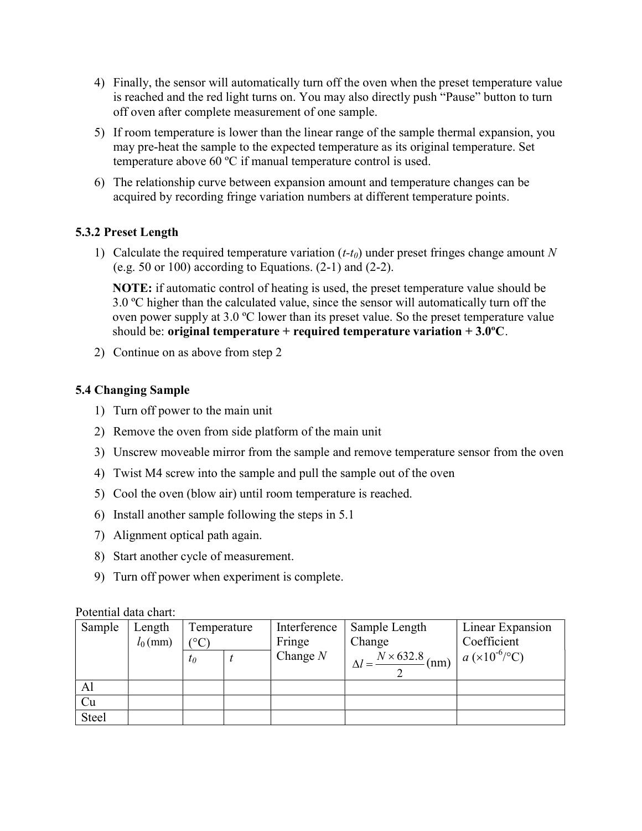- 4) Finally, the sensor will automatically turn off the oven when the preset temperature value is reached and the red light turns on. You may also directly push "Pause" button to turn off oven after complete measurement of one sample.
- 5) If room temperature is lower than the linear range of the sample thermal expansion, you may pre-heat the sample to the expected temperature as its original temperature. Set temperature above 60 ºC if manual temperature control is used.
- 6) The relationship curve between expansion amount and temperature changes can be acquired by recording fringe variation numbers at different temperature points.

## 5.3.2 Preset Length

1) Calculate the required temperature variation  $(t-t_0)$  under preset fringes change amount N (e.g. 50 or 100) according to Equations.  $(2-1)$  and  $(2-2)$ .

NOTE: if automatic control of heating is used, the preset temperature value should be 3.0 ºC higher than the calculated value, since the sensor will automatically turn off the oven power supply at 3.0 ºC lower than its preset value. So the preset temperature value should be: original temperature + required temperature variation  $+3.0^{\circ}$ C.

2) Continue on as above from step 2

## 5.4 Changing Sample

- 1) Turn off power to the main unit
- 2) Remove the oven from side platform of the main unit
- 3) Unscrew moveable mirror from the sample and remove temperature sensor from the oven
- 4) Twist M4 screw into the sample and pull the sample out of the oven
- 5) Cool the oven (blow air) until room temperature is reached.
- 6) Install another sample following the steps in 5.1
- 7) Alignment optical path again.
- 8) Start another cycle of measurement.
- 9) Turn off power when experiment is complete.

#### Potential data chart:

| Sample | Length<br>$l_0$ (mm) | Temperature<br>$\rm ^{\circ}C$ |  | Interference<br>Fringe | Sample Length<br>Change   | Linear Expansion<br>Coefficient |
|--------|----------------------|--------------------------------|--|------------------------|---------------------------|---------------------------------|
|        |                      | $t_0$                          |  | Change $N$             | $N \times 632.8$ (nm)   " | $a (x 10^{-6}/^{\circ}C)$       |
| Al     |                      |                                |  |                        |                           |                                 |
| Cu     |                      |                                |  |                        |                           |                                 |
| Steel  |                      |                                |  |                        |                           |                                 |